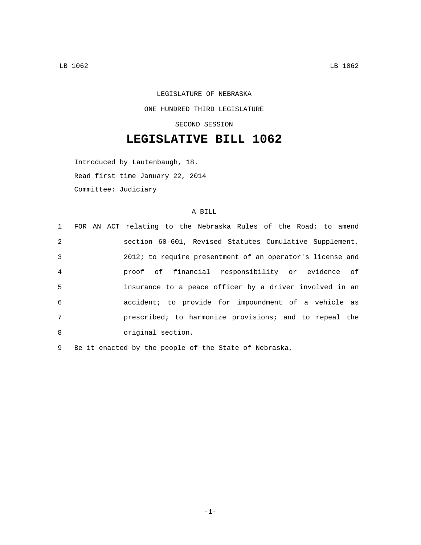## LEGISLATURE OF NEBRASKA ONE HUNDRED THIRD LEGISLATURE SECOND SESSION

## **LEGISLATIVE BILL 1062**

Introduced by Lautenbaugh, 18. Read first time January 22, 2014 Committee: Judiciary

## A BILL

|                |  | 1 FOR AN ACT relating to the Nebraska Rules of the Road; to amend |
|----------------|--|-------------------------------------------------------------------|
| 2              |  | section 60-601, Revised Statutes Cumulative Supplement,           |
| 3              |  | 2012; to require presentment of an operator's license and         |
| $\overline{4}$ |  | proof of financial responsibility or evidence of                  |
| -5             |  | insurance to a peace officer by a driver involved in an           |
| 6              |  | accident; to provide for impoundment of a vehicle as              |
| 7              |  | prescribed; to harmonize provisions; and to repeal the            |
| 8              |  | original section.                                                 |

9 Be it enacted by the people of the State of Nebraska,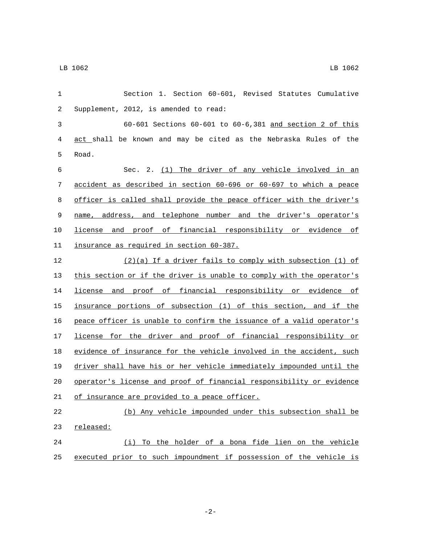| 1  | Section 1. Section 60-601, Revised Statutes Cumulative                |
|----|-----------------------------------------------------------------------|
| 2  | Supplement, 2012, is amended to read:                                 |
| 3  | 60-601 Sections 60-601 to 60-6,381 and section 2 of this              |
| 4  | act shall be known and may be cited as the Nebraska Rules of the      |
| 5  | Road.                                                                 |
| 6  | Sec. 2. (1) The driver of any vehicle involved in an                  |
| 7  | accident as described in section 60-696 or 60-697 to which a peace    |
| 8  | officer is called shall provide the peace officer with the driver's   |
| 9  | name, address, and telephone number and the driver's operator's       |
| 10 | license and proof of financial responsibility or evidence of          |
| 11 | insurance as required in section 60-387.                              |
| 12 | $(2)(a)$ If a driver fails to comply with subsection (1) of           |
| 13 | this section or if the driver is unable to comply with the operator's |
| 14 | license and proof of financial responsibility or evidence of          |
| 15 | insurance portions of subsection (1) of this section, and if the      |
| 16 | peace officer is unable to confirm the issuance of a valid operator's |
| 17 | license for the driver and proof of financial responsibility or       |
| 18 | evidence of insurance for the vehicle involved in the accident, such  |
| 19 | driver shall have his or her vehicle immediately impounded until the  |
| 20 | operator's license and proof of financial responsibility or evidence  |
| 21 | of insurance are provided to a peace officer.                         |
| 22 | (b) Any vehicle impounded under this subsection shall be              |
| 23 | released:                                                             |
| 24 | (i) To the holder of a bona fide lien on the vehicle                  |
| 25 | executed prior to such impoundment if possession of the vehicle is    |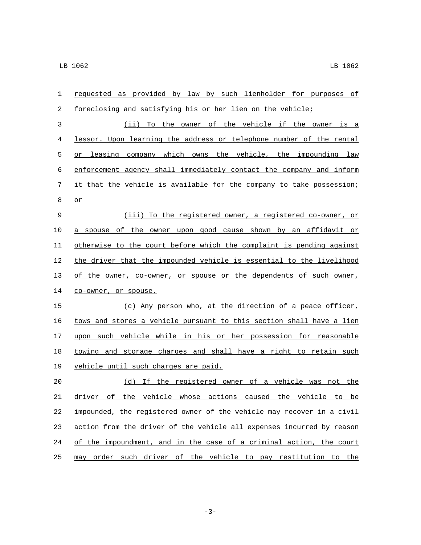| 1  | requested as provided by law by such lienholder for purposes of       |
|----|-----------------------------------------------------------------------|
| 2  | foreclosing and satisfying his or her lien on the vehicle;            |
| 3  | (ii) To the owner of the vehicle if the owner is a                    |
| 4  | lessor. Upon learning the address or telephone number of the rental   |
| 5  | company which owns the vehicle, the impounding law<br>leasing<br>or   |
| 6  | enforcement agency shall immediately contact the company and inform   |
| 7  | it that the vehicle is available for the company to take possession;  |
| 8  | or                                                                    |
| 9  | (iii) To the registered owner, a registered co-owner, or              |
| 10 | a spouse of the owner upon good cause shown by an affidavit or        |
| 11 | otherwise to the court before which the complaint is pending against  |
| 12 | the driver that the impounded vehicle is essential to the livelihood  |
| 13 | of the owner, co-owner, or spouse or the dependents of such owner,    |
| 14 | co-owner, or spouse.                                                  |
| 15 | (c) Any person who, at the direction of a peace officer,              |
| 16 | tows and stores a vehicle pursuant to this section shall have a lien  |
| 17 | upon such vehicle while in his or her possession for reasonable       |
| 18 | towing and storage charges and shall have a right to retain such      |
| 19 | vehicle until such charges are paid.                                  |
| 20 | If the registered owner of a vehicle was not the<br>(d)               |
| 21 | driver of the vehicle whose actions caused the vehicle to be          |
| 22 | impounded, the registered owner of the vehicle may recover in a civil |
| 23 | action from the driver of the vehicle all expenses incurred by reason |
| 24 | of the impoundment, and in the case of a criminal action, the court   |
| 25 | may order such driver of the vehicle to pay restitution to the        |